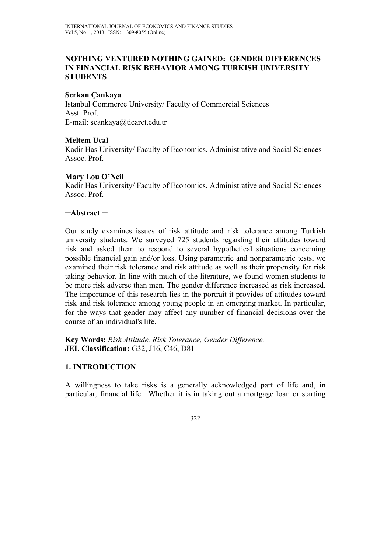## **NOTHING VENTURED NOTHING GAINED: GENDER DIFFERENCES IN FINANCIAL RISK BEHAVIOR AMONG TURKISH UNIVERSITY STUDENTS**

## **Serkan Çankaya**

Istanbul Commerce University/ Faculty of Commercial Sciences Asst. Prof. E-mail: scankaya@ticaret.edu.tr

## **Meltem Ucal**

Kadir Has University/ Faculty of Economics, Administrative and Social Sciences Assoc. Prof.

## **Mary Lou O'Neil**

Kadir Has University/ Faculty of Economics, Administrative and Social Sciences Assoc. Prof.

## **─Abstract ─**

Our study examines issues of risk attitude and risk tolerance among Turkish university students. We surveyed 725 students regarding their attitudes toward risk and asked them to respond to several hypothetical situations concerning possible financial gain and/or loss. Using parametric and nonparametric tests, we examined their risk tolerance and risk attitude as well as their propensity for risk taking behavior. In line with much of the literature, we found women students to be more risk adverse than men. The gender difference increased as risk increased. The importance of this research lies in the portrait it provides of attitudes toward risk and risk tolerance among young people in an emerging market. In particular, for the ways that gender may affect any number of financial decisions over the course of an individual's life.

**Key Words:** *Risk Attitude, Risk Tolerance, Gender Difference.*  **JEL Classification:** G32, J16, C46, D81

## **1. INTRODUCTION**

A willingness to take risks is a generally acknowledged part of life and, in particular, financial life. Whether it is in taking out a mortgage loan or starting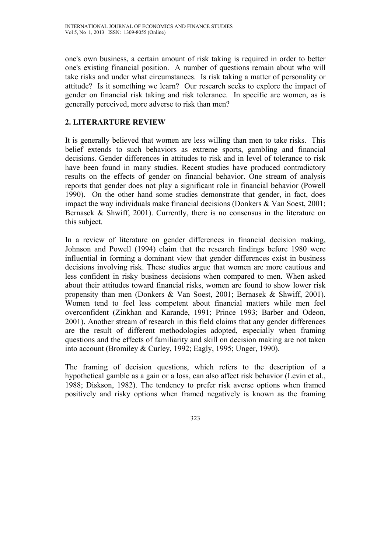one's own business, a certain amount of risk taking is required in order to better one's existing financial position. A number of questions remain about who will take risks and under what circumstances. Is risk taking a matter of personality or attitude? Is it something we learn? Our research seeks to explore the impact of gender on financial risk taking and risk tolerance. In specific are women, as is generally perceived, more adverse to risk than men?

# **2. LITERARTURE REVIEW**

It is generally believed that women are less willing than men to take risks. This belief extends to such behaviors as extreme sports, gambling and financial decisions. Gender differences in attitudes to risk and in level of tolerance to risk have been found in many studies. Recent studies have produced contradictory results on the effects of gender on financial behavior. One stream of analysis reports that gender does not play a significant role in financial behavior (Powell 1990). On the other hand some studies demonstrate that gender, in fact, does impact the way individuals make financial decisions (Donkers & Van Soest, 2001; Bernasek & Shwiff, 2001). Currently, there is no consensus in the literature on this subject.

In a review of literature on gender differences in financial decision making, Johnson and Powell (1994) claim that the research findings before 1980 were influential in forming a dominant view that gender differences exist in business decisions involving risk. These studies argue that women are more cautious and less confident in risky business decisions when compared to men. When asked about their attitudes toward financial risks, women are found to show lower risk propensity than men (Donkers & Van Soest, 2001; Bernasek & Shwiff, 2001). Women tend to feel less competent about financial matters while men feel overconfident (Zinkhan and Karande, 1991; Prince 1993; Barber and Odeon, 2001). Another stream of research in this field claims that any gender differences are the result of different methodologies adopted, especially when framing questions and the effects of familiarity and skill on decision making are not taken into account (Bromiley & Curley, 1992; Eagly, 1995; Unger, 1990).

The framing of decision questions, which refers to the description of a hypothetical gamble as a gain or a loss, can also affect risk behavior (Levin et al., 1988; Diskson, 1982). The tendency to prefer risk averse options when framed positively and risky options when framed negatively is known as the framing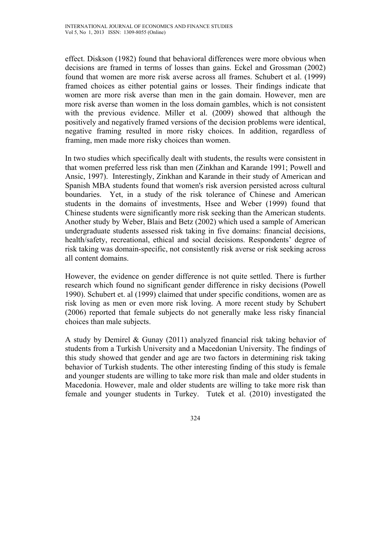effect. Diskson (1982) found that behavioral differences were more obvious when decisions are framed in terms of losses than gains. Eckel and Grossman (2002) found that women are more risk averse across all frames. Schubert et al. (1999) framed choices as either potential gains or losses. Their findings indicate that women are more risk averse than men in the gain domain. However, men are more risk averse than women in the loss domain gambles, which is not consistent with the previous evidence. Miller et al. (2009) showed that although the positively and negatively framed versions of the decision problems were identical, negative framing resulted in more risky choices. In addition, regardless of framing, men made more risky choices than women.

In two studies which specifically dealt with students, the results were consistent in that women preferred less risk than men (Zinkhan and Karande 1991; Powell and Ansic, 1997). Interestingly, Zinkhan and Karande in their study of American and Spanish MBA students found that women's risk aversion persisted across cultural boundaries. Yet, in a study of the risk tolerance of Chinese and American students in the domains of investments, Hsee and Weber (1999) found that Chinese students were significantly more risk seeking than the American students. Another study by Weber, Blais and Betz (2002) which used a sample of American undergraduate students assessed risk taking in five domains: financial decisions, health/safety, recreational, ethical and social decisions. Respondents' degree of risk taking was domain-specific, not consistently risk averse or risk seeking across all content domains.

However, the evidence on gender difference is not quite settled. There is further research which found no significant gender difference in risky decisions (Powell 1990). Schubert et. al (1999) claimed that under specific conditions, women are as risk loving as men or even more risk loving. A more recent study by Schubert (2006) reported that female subjects do not generally make less risky financial choices than male subjects.

A study by Demirel & Gunay (2011) analyzed financial risk taking behavior of students from a Turkish University and a Macedonian University. The findings of this study showed that gender and age are two factors in determining risk taking behavior of Turkish students. The other interesting finding of this study is female and younger students are willing to take more risk than male and older students in Macedonia. However, male and older students are willing to take more risk than female and younger students in Turkey. Tutek et al. (2010) investigated the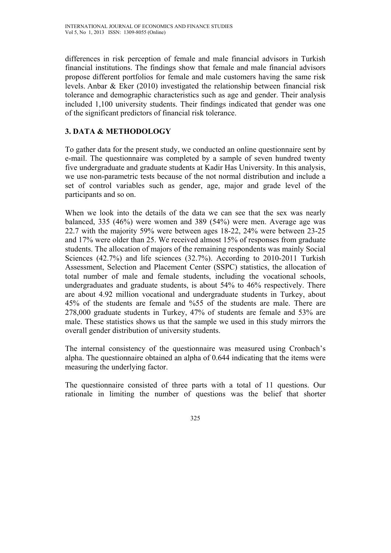differences in risk perception of female and male financial advisors in Turkish financial institutions. The findings show that female and male financial advisors propose different portfolios for female and male customers having the same risk levels. Anbar & Eker (2010) investigated the relationship between financial risk tolerance and demographic characteristics such as age and gender. Their analysis included 1,100 university students. Their findings indicated that gender was one of the significant predictors of financial risk tolerance.

# **3. DATA & METHODOLOGY**

To gather data for the present study, we conducted an online questionnaire sent by e-mail. The questionnaire was completed by a sample of seven hundred twenty five undergraduate and graduate students at Kadir Has University. In this analysis, we use non-parametric tests because of the not normal distribution and include a set of control variables such as gender, age, major and grade level of the participants and so on.

When we look into the details of the data we can see that the sex was nearly balanced, 335 (46%) were women and 389 (54%) were men. Average age was 22.7 with the majority 59% were between ages 18-22, 24% were between 23-25 and 17% were older than 25. We received almost 15% of responses from graduate students. The allocation of majors of the remaining respondents was mainly Social Sciences (42.7%) and life sciences (32.7%). According to 2010-2011 Turkish Assessment, Selection and Placement Center (SSPC) statistics, the allocation of total number of male and female students, including the vocational schools, undergraduates and graduate students, is about 54% to 46% respectively. There are about 4.92 million vocational and undergraduate students in Turkey, about 45% of the students are female and %55 of the students are male. There are 278,000 graduate students in Turkey, 47% of students are female and 53% are male. These statistics shows us that the sample we used in this study mirrors the overall gender distribution of university students.

The internal consistency of the questionnaire was measured using Cronbach's alpha. The questionnaire obtained an alpha of 0.644 indicating that the items were measuring the underlying factor.

The questionnaire consisted of three parts with a total of 11 questions. Our rationale in limiting the number of questions was the belief that shorter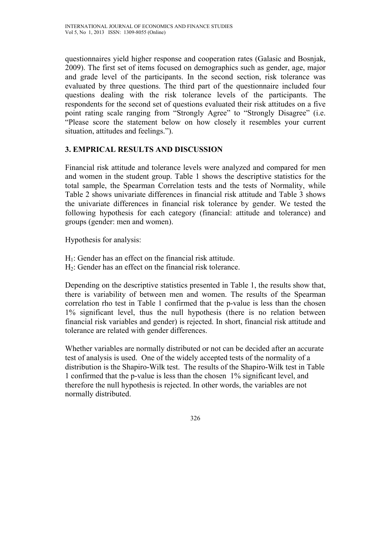questionnaires yield higher response and cooperation rates (Galasic and Bosnjak, 2009). The first set of items focused on demographics such as gender, age, major and grade level of the participants. In the second section, risk tolerance was evaluated by three questions. The third part of the questionnaire included four questions dealing with the risk tolerance levels of the participants. The respondents for the second set of questions evaluated their risk attitudes on a five point rating scale ranging from "Strongly Agree" to "Strongly Disagree" (i.e. "Please score the statement below on how closely it resembles your current situation, attitudes and feelings.").

# **3. EMPRICAL RESULTS AND DISCUSSION**

Financial risk attitude and tolerance levels were analyzed and compared for men and women in the student group. Table 1 shows the descriptive statistics for the total sample, the Spearman Correlation tests and the tests of Normality, while Table 2 shows univariate differences in financial risk attitude and Table 3 shows the univariate differences in financial risk tolerance by gender. We tested the following hypothesis for each category (financial: attitude and tolerance) and groups (gender: men and women).

Hypothesis for analysis:

- $H_1$ : Gender has an effect on the financial risk attitude.
- H2: Gender has an effect on the financial risk tolerance.

Depending on the descriptive statistics presented in Table 1, the results show that, there is variability of between men and women. The results of the Spearman correlation rho test in Table 1 confirmed that the p-value is less than the chosen 1% significant level, thus the null hypothesis (there is no relation between financial risk variables and gender) is rejected. In short, financial risk attitude and tolerance are related with gender differences.

Whether variables are normally distributed or not can be decided after an accurate test of analysis is used. One of the widely accepted tests of the normality of a distribution is the Shapiro-Wilk test. The results of the Shapiro-Wilk test in Table 1 confirmed that the p-value is less than the chosen 1% significant level, and therefore the null hypothesis is rejected. In other words, the variables are not normally distributed.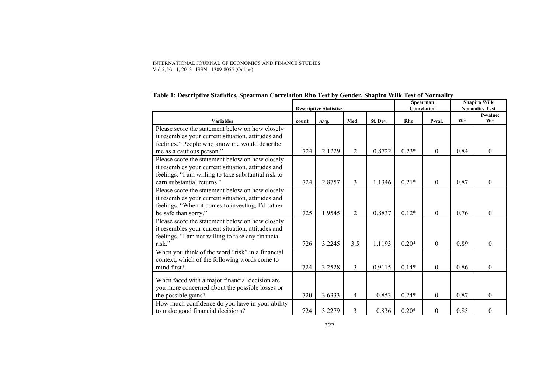#### INTERNATIONAL JOURNAL OF ECONOMICS AND FINANCE STUDIES Vol 5, No 1, 2013 ISSN: 1309-8055 (Online)

|                                                                                                         | <b>Descriptive Statistics</b> |        |      |          | Spearman<br>Correlation |          | <b>Shapiro Wilk</b><br><b>Normality Test</b> |                   |
|---------------------------------------------------------------------------------------------------------|-------------------------------|--------|------|----------|-------------------------|----------|----------------------------------------------|-------------------|
| <b>Variables</b>                                                                                        | count                         | Avg.   | Med. | St. Dev. | Rho                     | P-val.   | $W^*$                                        | P-value:<br>$W^*$ |
| Please score the statement below on how closely                                                         |                               |        |      |          |                         |          |                                              |                   |
| it resembles your current situation, attitudes and                                                      |                               |        |      |          |                         |          |                                              |                   |
| feelings." People who know me would describe<br>me as a cautious person."                               | 724                           | 2.1229 | 2    | 0.8722   | $0.23*$                 | $\theta$ | 0.84                                         | $\theta$          |
| Please score the statement below on how closely                                                         |                               |        |      |          |                         |          |                                              |                   |
| it resembles your current situation, attitudes and                                                      |                               |        |      |          |                         |          |                                              |                   |
| feelings. "I am willing to take substantial risk to                                                     |                               |        |      |          |                         |          |                                              |                   |
| earn substantial returns."                                                                              | 724                           | 2.8757 | 3    | 1.1346   | $0.21*$                 | $\theta$ | 0.87                                         | $\theta$          |
| Please score the statement below on how closely                                                         |                               |        |      |          |                         |          |                                              |                   |
| it resembles your current situation, attitudes and<br>feelings. "When it comes to investing, I'd rather |                               |        |      |          |                         |          |                                              |                   |
| be safe than sorry."                                                                                    | 725                           | 1.9545 | 2    | 0.8837   | $0.12*$                 | $\theta$ | 0.76                                         | $\Omega$          |
| Please score the statement below on how closely                                                         |                               |        |      |          |                         |          |                                              |                   |
| it resembles your current situation, attitudes and                                                      |                               |        |      |          |                         |          |                                              |                   |
| feelings. "I am not willing to take any financial<br>risk."                                             | 726                           | 3.2245 | 3.5  | 1.1193   | $0.20*$                 | $\Omega$ | 0.89                                         | $\theta$          |
| When you think of the word "risk" in a financial                                                        |                               |        |      |          |                         |          |                                              |                   |
| context, which of the following words come to                                                           |                               |        |      |          |                         |          |                                              |                   |
| mind first?                                                                                             | 724                           | 3.2528 | 3    | 0.9115   | $0.14*$                 | $\Omega$ | 0.86                                         | $\theta$          |
| When faced with a major financial decision are                                                          |                               |        |      |          |                         |          |                                              |                   |
| you more concerned about the possible losses or                                                         |                               |        |      |          |                         |          |                                              |                   |
| the possible gains?                                                                                     | 720                           | 3.6333 | 4    | 0.853    | $0.24*$                 | 0        | 0.87                                         | $\theta$          |
| How much confidence do you have in your ability                                                         |                               |        |      |          |                         |          |                                              |                   |
| to make good financial decisions?                                                                       | 724                           | 3.2279 | 3    | 0.836    | $0.20*$                 | 0        | 0.85                                         | $\theta$          |

## **Table 1: Descriptive Statistics, Spearman Correlation Rho Test by Gender, Shapiro Wilk Test of Normality**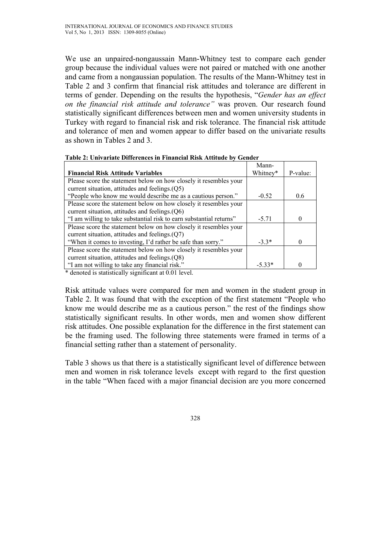We use an unpaired-nongaussain Mann-Whitney test to compare each gender group because the individual values were not paired or matched with one another and came from a nongaussian population. The results of the Mann-Whitney test in Table 2 and 3 confirm that financial risk attitudes and tolerance are different in terms of gender. Depending on the results the hypothesis, "*Gender has an effect on the financial risk attitude and tolerance"* was proven. Our research found statistically significant differences between men and women university students in Turkey with regard to financial risk and risk tolerance. The financial risk attitude and tolerance of men and women appear to differ based on the univariate results as shown in Tables 2 and 3.

| Mann-    |          |
|----------|----------|
| Whitney* | P-value: |
|          |          |
|          |          |
| $-0.52$  | 0.6      |
|          |          |
|          |          |
| $-5.71$  |          |
|          |          |
|          |          |
| $-3.3*$  |          |
|          |          |
|          |          |
| $-5.33*$ |          |
|          |          |

|  |  |  | Table 2: Univariate Differences in Financial Risk Attitude by Gender |
|--|--|--|----------------------------------------------------------------------|
|--|--|--|----------------------------------------------------------------------|

\* denoted is statistically significant at 0.01 level.

Risk attitude values were compared for men and women in the student group in Table 2. It was found that with the exception of the first statement "People who know me would describe me as a cautious person." the rest of the findings show statistically significant results. In other words, men and women show different risk attitudes. One possible explanation for the difference in the first statement can be the framing used. The following three statements were framed in terms of a financial setting rather than a statement of personality.

Table 3 shows us that there is a statistically significant level of difference between men and women in risk tolerance levels except with regard to the first question in the table "When faced with a major financial decision are you more concerned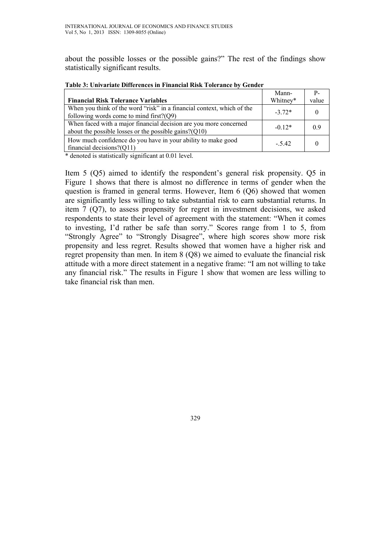about the possible losses or the possible gains?" The rest of the findings show statistically significant results.

|                                                                                                                               | Mann-    | $P_{-}$ |
|-------------------------------------------------------------------------------------------------------------------------------|----------|---------|
| <b>Financial Risk Tolerance Variables</b>                                                                                     | Whitney* | value   |
| When you think of the word "risk" in a financial context, which of the<br>following words come to mind first? $(Q9)$          | $-3.72*$ |         |
| When faced with a major financial decision are you more concerned<br>about the possible losses or the possible gains? $(Q10)$ | $-0.12*$ | () 9    |
| How much confidence do you have in your ability to make good<br>financial decisions? $(Q11)$                                  | $-.5.42$ |         |

**Table 3: Univariate Differences in Financial Risk Tolerance by Gender** 

\* denoted is statistically significant at 0.01 level.

Item 5 (Q5) aimed to identify the respondent's general risk propensity. Q5 in Figure 1 shows that there is almost no difference in terms of gender when the question is framed in general terms. However, Item 6 (Q6) showed that women are significantly less willing to take substantial risk to earn substantial returns. In item 7 (Q7), to assess propensity for regret in investment decisions, we asked respondents to state their level of agreement with the statement: "When it comes to investing, I'd rather be safe than sorry." Scores range from 1 to 5, from "Strongly Agree" to "Strongly Disagree", where high scores show more risk propensity and less regret. Results showed that women have a higher risk and regret propensity than men. In item 8 (Q8) we aimed to evaluate the financial risk attitude with a more direct statement in a negative frame: "I am not willing to take any financial risk." The results in Figure 1 show that women are less willing to take financial risk than men.

329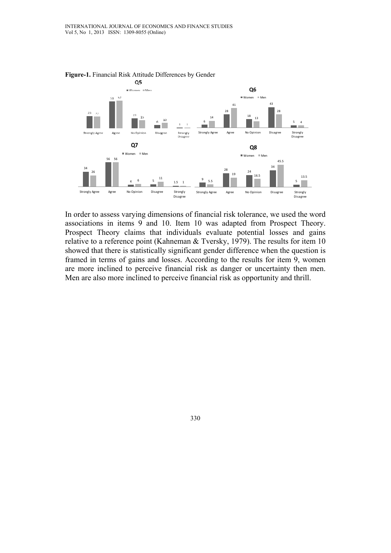

**Figure-1.** Financial Risk Attitude Differences by Gender

In order to assess varying dimensions of financial risk tolerance, we used the word associations in items 9 and 10. Item 10 was adapted from Prospect Theory. Prospect Theory claims that individuals evaluate potential losses and gains relative to a reference point (Kahneman & Tversky, 1979). The results for item 10 showed that there is statistically significant gender difference when the question is framed in terms of gains and losses. According to the results for item 9, women are more inclined to perceive financial risk as danger or uncertainty then men. Men are also more inclined to perceive financial risk as opportunity and thrill.

330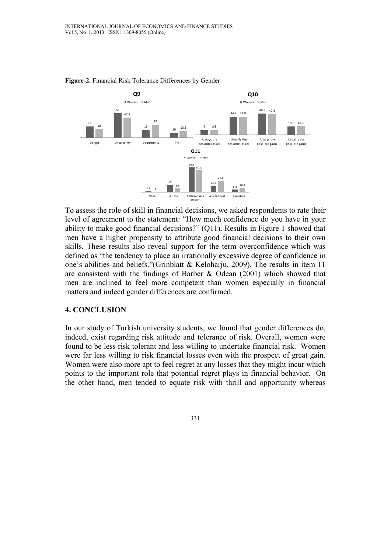

**Figure-2.** Financial Risk Tolerance Differences by Gender

To assess the role of skill in financial decisions, we asked respondents to rate their level of agreement to the statement: "How much confidence do you have in your ability to make good financial decisions?" (Q11). Results in Figure 1 showed that men have a higher propensity to attribute good financial decisions to their own skills. These results also reveal support for the term overconfidence which was defined as "the tendency to place an irrationally excessive degree of confidence in one's abilities and beliefs."(Grinblatt & Keloharju, 2009). The results in item 11 are consistent with the findings of Barber & Odean (2001) which showed that men are inclined to feel more competent than women especially in financial matters and indeed gender differences are confirmed.

### **4. CONCLUSION**

In our study of Turkish university students, we found that gender differences do, indeed, exist regarding risk attitude and tolerance of risk. Overall, women were found to be less risk tolerant and less willing to undertake financial risk. Women were far less willing to risk financial losses even with the prospect of great gain. Women were also more apt to feel regret at any losses that they might incur which points to the important role that potential regret plays in financial behavior. On the other hand, men tended to equate risk with thrill and opportunity whereas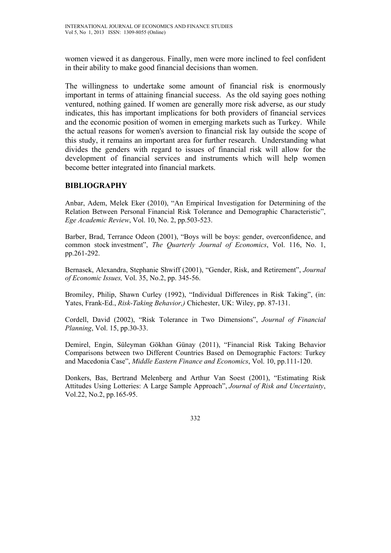women viewed it as dangerous. Finally, men were more inclined to feel confident in their ability to make good financial decisions than women.

The willingness to undertake some amount of financial risk is enormously important in terms of attaining financial success. As the old saying goes nothing ventured, nothing gained. If women are generally more risk adverse, as our study indicates, this has important implications for both providers of financial services and the economic position of women in emerging markets such as Turkey. While the actual reasons for women's aversion to financial risk lay outside the scope of this study, it remains an important area for further research. Understanding what divides the genders with regard to issues of financial risk will allow for the development of financial services and instruments which will help women become better integrated into financial markets.

## **BIBLIOGRAPHY**

Anbar, Adem, Melek Eker (2010), "An Empirical Investigation for Determining of the Relation Between Personal Financial Risk Tolerance and Demographic Characteristic", *Ege Academic Review*, Vol. 10, No. 2, pp.503-523.

Barber, Brad, Terrance Odeon (2001), "Boys will be boys: gender, overconfidence, and common stock investment", *The Quarterly Journal of Economics*, Vol. 116, No. 1, pp.261-292.

Bernasek, Alexandra, Stephanie Shwiff (2001), "Gender, Risk, and Retirement", *Journal of Economic Issues,* Vol. 35, No.2, pp. 345-56.

Bromiley, Philip, Shawn Curley (1992), "Individual Differences in Risk Taking", (in: Yates, Frank-Ed., *Risk-Taking Behavior,)* Chichester, UK: Wiley, pp. 87-131.

Cordell, David (2002), "Risk Tolerance in Two Dimensions", *Journal of Financial Planning*, Vol. 15, pp.30-33.

Demirel, Engin, Süleyman Gökhan Günay (2011), "Financial Risk Taking Behavior Comparisons between two Different Countries Based on Demographic Factors: Turkey and Macedonia Case", *Middle Eastern Finance and Economics*, Vol. 10, pp.111-120.

Donkers, Bas, Bertrand Melenberg and Arthur Van Soest (2001), "Estimating Risk Attitudes Using Lotteries: A Large Sample Approach", *Journal of Risk and Uncertainty*, Vol.22, No.2, pp.165-95.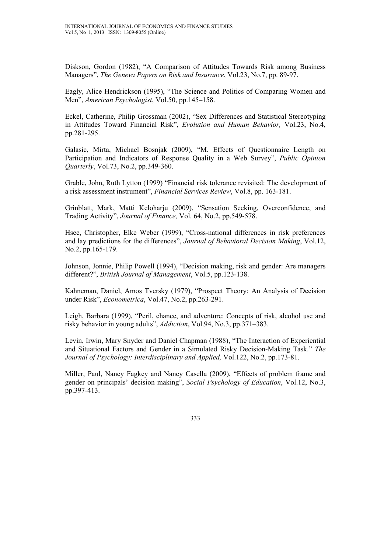Diskson, Gordon (1982), "A Comparison of Attitudes Towards Risk among Business Managers", *The Geneva Papers on Risk and Insurance*, Vol.23, No.7, pp. 89-97.

Eagly, Alice Hendrickson (1995), "The Science and Politics of Comparing Women and Men", *American Psychologist*, Vol.50, pp.145–158.

Eckel, Catherine, Philip Grossman (2002), "Sex Differences and Statistical Stereotyping in Attitudes Toward Financial Risk", *Evolution and Human Behavior,* Vol.23, No.4, pp.281-295.

Galasic, Mirta, Michael Bosnjak (2009), "M. Effects of Questionnaire Length on Participation and Indicators of Response Quality in a Web Survey", *Public Opinion Quarterly*, Vol.73, No.2, pp.349-360.

Grable, John, Ruth Lytton (1999) "Financial risk tolerance revisited: The development of a risk assessment instrument", *Financial Services Review*, Vol.8, pp. 163-181.

Grinblatt, Mark, Matti Keloharju (2009), "Sensation Seeking, Overconfidence, and Trading Activity", *Journal of Finance,* Vol. 64, No.2, pp.549-578.

Hsee, Christopher, Elke Weber (1999), "Cross-national differences in risk preferences and lay predictions for the differences", *Journal of Behavioral Decision Making*, Vol.12, No.2, pp.165-179.

Johnson, Jonnie, Philip Powell (1994), "Decision making, risk and gender: Are managers different?", *British Journal of Management*, Vol.5, pp.123-138.

Kahneman, Daniel, Amos Tversky (1979), "Prospect Theory: An Analysis of Decision under Risk", *Econometrica*, Vol.47, No.2, pp.263-291.

Leigh, Barbara (1999), "Peril, chance, and adventure: Concepts of risk, alcohol use and risky behavior in young adults", *Addiction*, Vol.94, No.3, pp.371–383.

Levin, Irwin, Mary Snyder and Daniel Chapman (1988), "The Interaction of Experiential and Situational Factors and Gender in a Simulated Risky Decision-Making Task." *The Journal of Psychology: Interdisciplinary and Applied,* Vol.122, No.2, pp.173-81.

Miller, Paul, Nancy Fagkey and Nancy Casella (2009), "Effects of problem frame and gender on principals' decision making", *Social Psychology of Education*, Vol.12, No.3, pp.397-413.